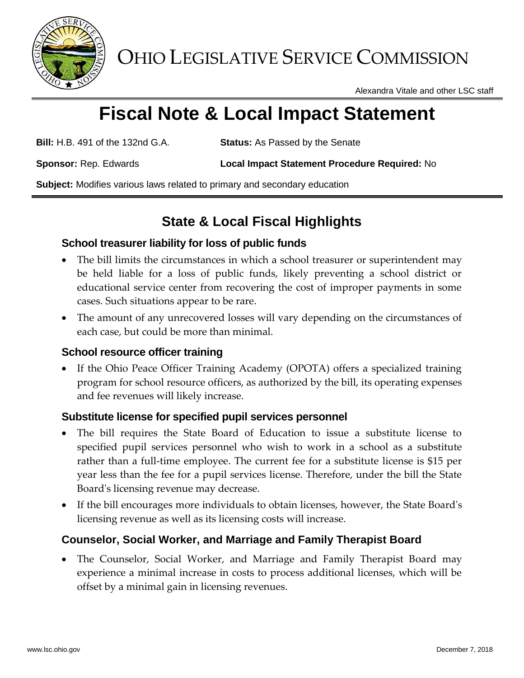

OHIO LEGISLATIVE SERVICE COMMISSION

Alexandra Vitale and other LSC staff

# **Fiscal Note & Local Impact Statement**

**Bill:** H.B. 491 of the 132nd G.A. **Status:** As Passed by the Senate

**Sponsor:** Rep. Edwards **Local Impact Statement Procedure Required:** No

**Subject:** Modifies various laws related to primary and secondary education

# **State & Local Fiscal Highlights**

# **School treasurer liability for loss of public funds**

- The bill limits the circumstances in which a school treasurer or superintendent may be held liable for a loss of public funds, likely preventing a school district or educational service center from recovering the cost of improper payments in some cases. Such situations appear to be rare.
- The amount of any unrecovered losses will vary depending on the circumstances of each case, but could be more than minimal.

# **School resource officer training**

 If the Ohio Peace Officer Training Academy (OPOTA) offers a specialized training program for school resource officers, as authorized by the bill, its operating expenses and fee revenues will likely increase.

# **Substitute license for specified pupil services personnel**

- The bill requires the State Board of Education to issue a substitute license to specified pupil services personnel who wish to work in a school as a substitute rather than a full-time employee. The current fee for a substitute license is \$15 per year less than the fee for a pupil services license. Therefore, under the bill the State Board's licensing revenue may decrease.
- If the bill encourages more individuals to obtain licenses, however, the State Board's licensing revenue as well as its licensing costs will increase.

# **Counselor, Social Worker, and Marriage and Family Therapist Board**

 The Counselor, Social Worker, and Marriage and Family Therapist Board may experience a minimal increase in costs to process additional licenses, which will be offset by a minimal gain in licensing revenues.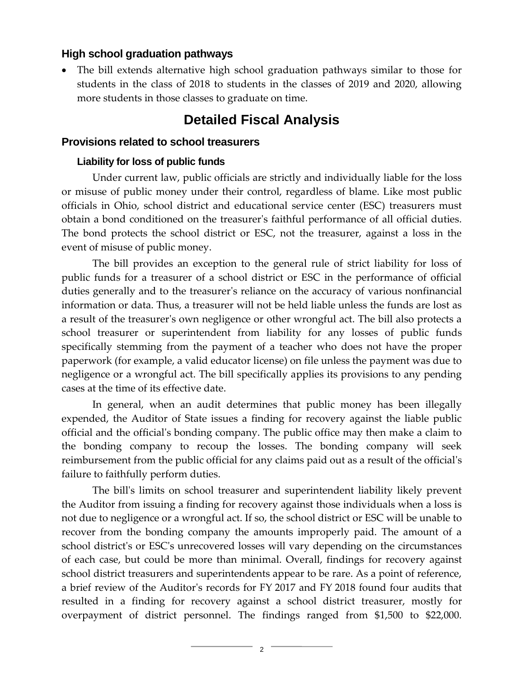## **High school graduation pathways**

 The bill extends alternative high school graduation pathways similar to those for students in the class of 2018 to students in the classes of 2019 and 2020, allowing more students in those classes to graduate on time.

# **Detailed Fiscal Analysis**

#### **Provisions related to school treasurers**

#### **Liability for loss of public funds**

Under current law, public officials are strictly and individually liable for the loss or misuse of public money under their control, regardless of blame. Like most public officials in Ohio, school district and educational service center (ESC) treasurers must obtain a bond conditioned on the treasurer's faithful performance of all official duties. The bond protects the school district or ESC, not the treasurer, against a loss in the event of misuse of public money.

The bill provides an exception to the general rule of strict liability for loss of public funds for a treasurer of a school district or ESC in the performance of official duties generally and to the treasurer's reliance on the accuracy of various nonfinancial information or data. Thus, a treasurer will not be held liable unless the funds are lost as a result of the treasurer's own negligence or other wrongful act. The bill also protects a school treasurer or superintendent from liability for any losses of public funds specifically stemming from the payment of a teacher who does not have the proper paperwork (for example, a valid educator license) on file unless the payment was due to negligence or a wrongful act. The bill specifically applies its provisions to any pending cases at the time of its effective date.

In general, when an audit determines that public money has been illegally expended, the Auditor of State issues a finding for recovery against the liable public official and the official's bonding company. The public office may then make a claim to the bonding company to recoup the losses. The bonding company will seek reimbursement from the public official for any claims paid out as a result of the official's failure to faithfully perform duties.

The bill's limits on school treasurer and superintendent liability likely prevent the Auditor from issuing a finding for recovery against those individuals when a loss is not due to negligence or a wrongful act. If so, the school district or ESC will be unable to recover from the bonding company the amounts improperly paid. The amount of a school district's or ESC's unrecovered losses will vary depending on the circumstances of each case, but could be more than minimal. Overall, findings for recovery against school district treasurers and superintendents appear to be rare. As a point of reference, a brief review of the Auditor's records for FY 2017 and FY 2018 found four audits that resulted in a finding for recovery against a school district treasurer, mostly for overpayment of district personnel. The findings ranged from \$1,500 to \$22,000.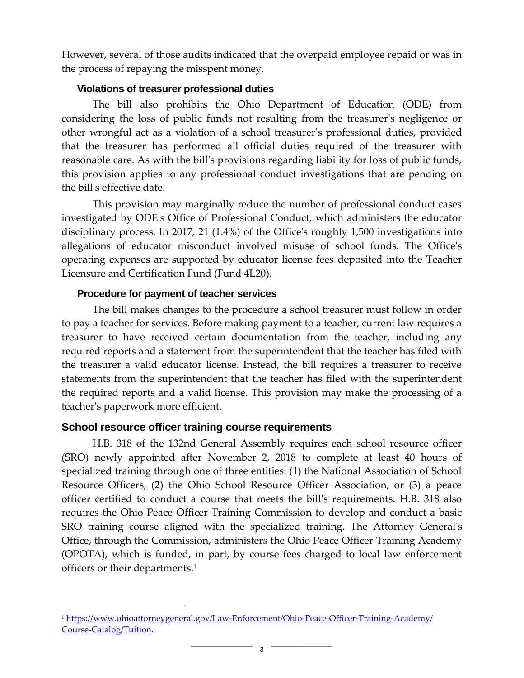However, several of those audits indicated that the overpaid employee repaid or was in the process of repaying the misspent money.

#### **Violations of treasurer professional duties**

The bill also prohibits the Ohio Department of Education (ODE) from considering the loss of public funds not resulting from the treasurer's negligence or other wrongful act as a violation of a school treasurer's professional duties, provided that the treasurer has performed all official duties required of the treasurer with reasonable care. As with the bill's provisions regarding liability for loss of public funds, this provision applies to any professional conduct investigations that are pending on the bill's effective date.

This provision may marginally reduce the number of professional conduct cases investigated by ODE's Office of Professional Conduct, which administers the educator disciplinary process. In 2017, 21 (1.4%) of the Office's roughly 1,500 investigations into allegations of educator misconduct involved misuse of school funds. The Office's operating expenses are supported by educator license fees deposited into the Teacher Licensure and Certification Fund (Fund 4L20).

### **Procedure for payment of teacher services**

The bill makes changes to the procedure a school treasurer must follow in order to pay a teacher for services. Before making payment to a teacher, current law requires a treasurer to have received certain documentation from the teacher, including any required reports and a statement from the superintendent that the teacher has filed with the treasurer a valid educator license. Instead, the bill requires a treasurer to receive statements from the superintendent that the teacher has filed with the superintendent the required reports and a valid license. This provision may make the processing of a teacher's paperwork more efficient.

# **School resource officer training course requirements**

 $\overline{a}$ 

H.B. 318 of the 132nd General Assembly requires each school resource officer (SRO) newly appointed after November 2, 2018 to complete at least 40 hours of specialized training through one of three entities: (1) the National Association of School Resource Officers, (2) the Ohio School Resource Officer Association, or (3) a peace officer certified to conduct a course that meets the bill's requirements. H.B. 318 also requires the Ohio Peace Officer Training Commission to develop and conduct a basic SRO training course aligned with the specialized training. The Attorney General's Office, through the Commission, administers the Ohio Peace Officer Training Academy (OPOTA), which is funded, in part, by course fees charged to local law enforcement officers or their departments.<sup>1</sup>

<sup>1</sup> [https://www.ohioattorneygeneral.gov/Law-Enforcement/Ohio-Peace-Officer-Training-Academy/](https://www.ohioattorneygeneral.gov/Law-Enforcement/Ohio-Peace-Officer-Training-Academy/Course-Catalog/Tuition) [Course-Catalog/Tuition.](https://www.ohioattorneygeneral.gov/Law-Enforcement/Ohio-Peace-Officer-Training-Academy/Course-Catalog/Tuition)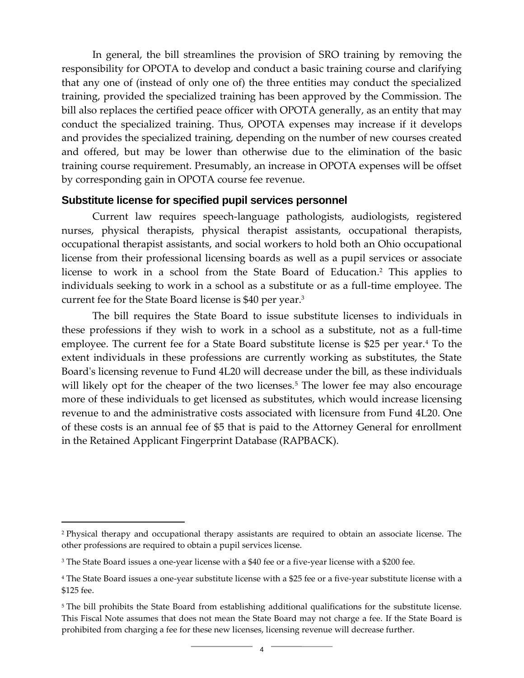In general, the bill streamlines the provision of SRO training by removing the responsibility for OPOTA to develop and conduct a basic training course and clarifying that any one of (instead of only one of) the three entities may conduct the specialized training, provided the specialized training has been approved by the Commission. The bill also replaces the certified peace officer with OPOTA generally, as an entity that may conduct the specialized training. Thus, OPOTA expenses may increase if it develops and provides the specialized training, depending on the number of new courses created and offered, but may be lower than otherwise due to the elimination of the basic training course requirement. Presumably, an increase in OPOTA expenses will be offset by corresponding gain in OPOTA course fee revenue.

#### **Substitute license for specified pupil services personnel**

Current law requires speech-language pathologists, audiologists, registered nurses, physical therapists, physical therapist assistants, occupational therapists, occupational therapist assistants, and social workers to hold both an Ohio occupational license from their professional licensing boards as well as a pupil services or associate license to work in a school from the State Board of Education. <sup>2</sup> This applies to individuals seeking to work in a school as a substitute or as a full-time employee. The current fee for the State Board license is \$40 per year. 3

The bill requires the State Board to issue substitute licenses to individuals in these professions if they wish to work in a school as a substitute, not as a full-time employee. The current fee for a State Board substitute license is \$25 per year.<sup>4</sup> To the extent individuals in these professions are currently working as substitutes, the State Board's licensing revenue to Fund 4L20 will decrease under the bill, as these individuals will likely opt for the cheaper of the two licenses.<sup>5</sup> The lower fee may also encourage more of these individuals to get licensed as substitutes, which would increase licensing revenue to and the administrative costs associated with licensure from Fund 4L20. One of these costs is an annual fee of \$5 that is paid to the Attorney General for enrollment in the Retained Applicant Fingerprint Database (RAPBACK).

 $\overline{a}$ 

<sup>2</sup> Physical therapy and occupational therapy assistants are required to obtain an associate license. The other professions are required to obtain a pupil services license.

<sup>3</sup> The State Board issues a one-year license with a \$40 fee or a five-year license with a \$200 fee.

<sup>4</sup> The State Board issues a one-year substitute license with a \$25 fee or a five-year substitute license with a \$125 fee.

<sup>&</sup>lt;sup>5</sup> The bill prohibits the State Board from establishing additional qualifications for the substitute license. This Fiscal Note assumes that does not mean the State Board may not charge a fee. If the State Board is prohibited from charging a fee for these new licenses, licensing revenue will decrease further.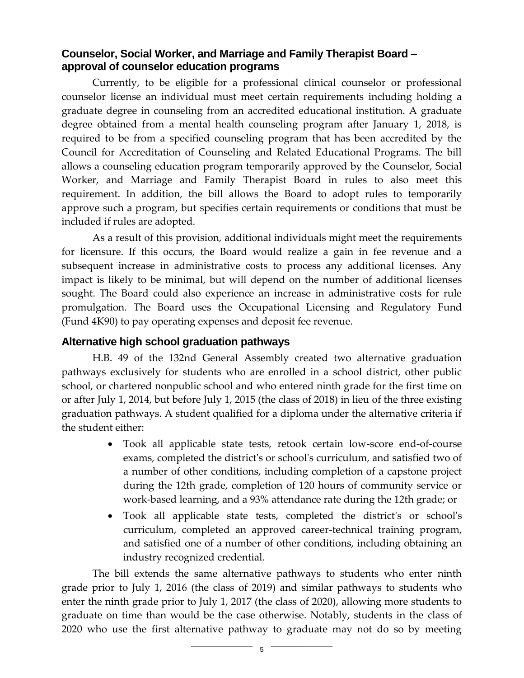# **Counselor, Social Worker, and Marriage and Family Therapist Board – approval of counselor education programs**

Currently, to be eligible for a professional clinical counselor or professional counselor license an individual must meet certain requirements including holding a graduate degree in counseling from an accredited educational institution. A graduate degree obtained from a mental health counseling program after January 1, 2018, is required to be from a specified counseling program that has been accredited by the Council for Accreditation of Counseling and Related Educational Programs. The bill allows a counseling education program temporarily approved by the Counselor, Social Worker, and Marriage and Family Therapist Board in rules to also meet this requirement. In addition, the bill allows the Board to adopt rules to temporarily approve such a program, but specifies certain requirements or conditions that must be included if rules are adopted.

As a result of this provision, additional individuals might meet the requirements for licensure. If this occurs, the Board would realize a gain in fee revenue and a subsequent increase in administrative costs to process any additional licenses. Any impact is likely to be minimal, but will depend on the number of additional licenses sought. The Board could also experience an increase in administrative costs for rule promulgation. The Board uses the Occupational Licensing and Regulatory Fund (Fund 4K90) to pay operating expenses and deposit fee revenue.

## **Alternative high school graduation pathways**

H.B. 49 of the 132nd General Assembly created two alternative graduation pathways exclusively for students who are enrolled in a school district, other public school, or chartered nonpublic school and who entered ninth grade for the first time on or after July 1, 2014, but before July 1, 2015 (the class of 2018) in lieu of the three existing graduation pathways. A student qualified for a diploma under the alternative criteria if the student either:

- Took all applicable state tests, retook certain low-score end-of-course exams, completed the district's or school's curriculum, and satisfied two of a number of other conditions, including completion of a capstone project during the 12th grade, completion of 120 hours of community service or work-based learning, and a 93% attendance rate during the 12th grade; or
- Took all applicable state tests, completed the district's or school's curriculum, completed an approved career-technical training program, and satisfied one of a number of other conditions, including obtaining an industry recognized credential.

The bill extends the same alternative pathways to students who enter ninth grade prior to July 1, 2016 (the class of 2019) and similar pathways to students who enter the ninth grade prior to July 1, 2017 (the class of 2020), allowing more students to graduate on time than would be the case otherwise. Notably, students in the class of 2020 who use the first alternative pathway to graduate may not do so by meeting